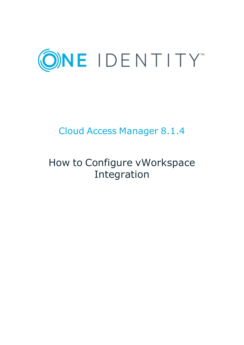

# Cloud Access Manager 8.1.4

# How to Configure vWorkspace Integration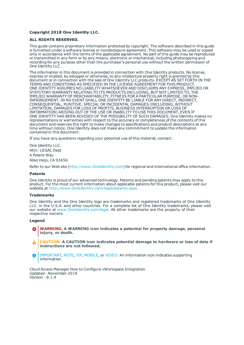### **Copyright 2018 One Identity LLC.**

### **ALL RIGHTS RESERVED.**

This guide contains proprietary information protected by copyright. The software described in this guide is furnished under a software license or nondisclosure agreement. This software may be used or copied only in accordance with the terms of the applicable agreement. No part of this guide may be reproduced or transmitted in any form or by any means, electronic or mechanical, including photocopying and recording for any purpose other than the purchaser's personal use without the written permission of One Identity LLC .

The information in this document is provided in connection with One Identity products. No license, express or implied, by estoppel or otherwise, to any intellectual property right is granted by this document or in connection with the sale of One Identity LLC products. EXCEPT AS SET FORTH IN THE TERMS AND CONDITIONS AS SPECIFIED IN THE LICENSE AGREEMENT FOR THIS PRODUCT, ONE IDENTITY ASSUMES NO LIABILITY WHATSOEVER AND DISCLAIMS ANY EXPRESS, IMPLIED OR STATUTORY WARRANTY RELATING TO ITS PRODUCTS INCLUDING, BUT NOT LIMITED TO, THE IMPLIED WARRANTY OF MERCHANTABILITY, FITNESS FOR A PARTICULAR PURPOSE, OR NON-INFRINGEMENT. IN NO EVENT SHALL ONE IDENTITY BE LIABLE FOR ANY DIRECT, INDIRECT, CONSEQUENTIAL, PUNITIVE, SPECIAL OR INCIDENTAL DAMAGES (INCLUDING, WITHOUT LIMITATION, DAMAGES FOR LOSS OF PROFITS, BUSINESS INTERRUPTION OR LOSS OF INFORMATION) ARISING OUT OF THE USE OR INABILITY TO USE THIS DOCUMENT, EVEN IF ONE IDENTITY HAS BEEN ADVISED OF THE POSSIBILITY OF SUCH DAMAGES. One Identity makes no representations or warranties with respect to the accuracy or completeness of the contents of this document and reserves the right to make changes to specifications and product descriptions at any time without notice. One Identity does not make any commitment to update the information contained in this document.

If you have any questions regarding your potential use of this material, contact:

One Identity LLC. Attn: LEGAL Dept 4 Polaris Way Aliso Viejo, CA 92656

Refer to our Web site ([http://www.OneIdentity.com](http://www.oneidentity.com/)) for regional and international office information.

### **Patents**

One Identity is proud of our advanced technology. Patents and pending patents may apply to this product. For the most current information about applicable patents for this product, please visit our website at [http://www.OneIdentity.com/legal/patents.aspx](http://www.oneidentity.com/legal/patents.aspx).

#### **Trademarks**

One Identity and the One Identity logo are trademarks and registered trademarks of One Identity LLC. in the U.S.A. and other countries. For a complete list of One Identity trademarks, please visit our website at [www.OneIdentity.com/legal](http://www.oneidentity.com/legal). All other trademarks are the property of their respective owners.

#### **Legend**

- **WARNING: A WARNING icon indicates a potential for property damage, personal injury, or death.**
- **CAUTION: A CAUTION icon indicates potential damage to hardware or loss of data if instructions are not followed.**
- IMPORTANT, NOTE, TIP, MOBILE, or VIDEO: An information icon indicates supporting Œ information.

Cloud Access Manager How to Configure vWorkspace Integration Updated - November 2018 Version - 8.1.4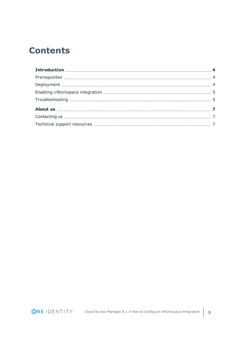## **Contents**

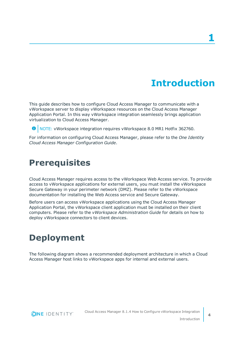## **Introduction**

<span id="page-3-0"></span>This guide describes how to configure Cloud Access Manager to communicate with a vWorkspace server to display vWorkspace resources on the Cloud Access Manager Application Portal. In this way vWorkspace integration seamlessly brings application virtualization to Cloud Access Manager.

**O** NOTE: vWorkspace integration requires vWorkspace 8.0 MR1 Hotfix 362760.

For information on configuring Cloud Access Manager, please refer to the *One Identity Cloud Access Manager Configuration Guide*.

### <span id="page-3-1"></span>**Prerequisites**

Cloud Access Manager requires access to the vWorkspace Web Access service. To provide access to vWorkspace applications for external users, you must install the vWorkspace Secure Gateway in your perimeter network (DMZ). Please refer to the vWorkspace documentation for installing the Web Access service and Secure Gateway.

Before users can access vWorkspace applications using the Cloud Access Manager Application Portal, the vWorkspace client application must be installed on their client computers. Please refer to the *vWorkspace Administration Guide* for details on how to deploy vWorkspace connectors to client devices.

## <span id="page-3-2"></span>**Deployment**

The following diagram shows a recommended deployment architecture in which a Cloud Access Manager host links to vWorkspace apps for internal and external users.

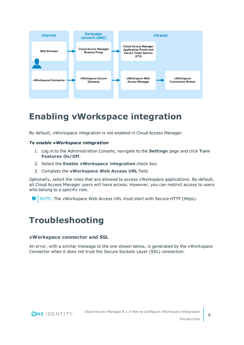

## <span id="page-4-0"></span>**Enabling vWorkspace integration**

By default, vWorkspace integration is not enabled in Cloud Access Manager.

### *To enable vWorkspace integration*

- 1. Log in to the Administration Console, navigate to the **Settings** page and click **Turn Features On/Off**.
- 2. Select the **Enable vWorkspace integration** check box.
- 3. Complete the **vWorkspace Web Access URL** field.

Optionally, select the roles that are allowed to access vWorkspace applications. By default, all Cloud Access Manager users will have access. However, you can restrict access to users who belong to a specific role.

<span id="page-4-1"></span>0 NOTE: The vWorkspace Web Access URL must start with Secure HTTP (https).

### **Troubleshooting**

### **vWorkspace connector and SSL**

An error, with a similar message to the one shown below, is generated by the vWorkspace Connector when it does not trust the Secure Sockets Layer (SSL) connection.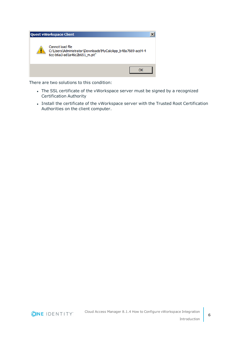

There are two solutions to this condition:

- The SSL certificate of the vWorkspace server must be signed by a recognized Certification Authority
- Install the certificate of the vWorkspace server with the Trusted Root Certification Authorities on the client computer.